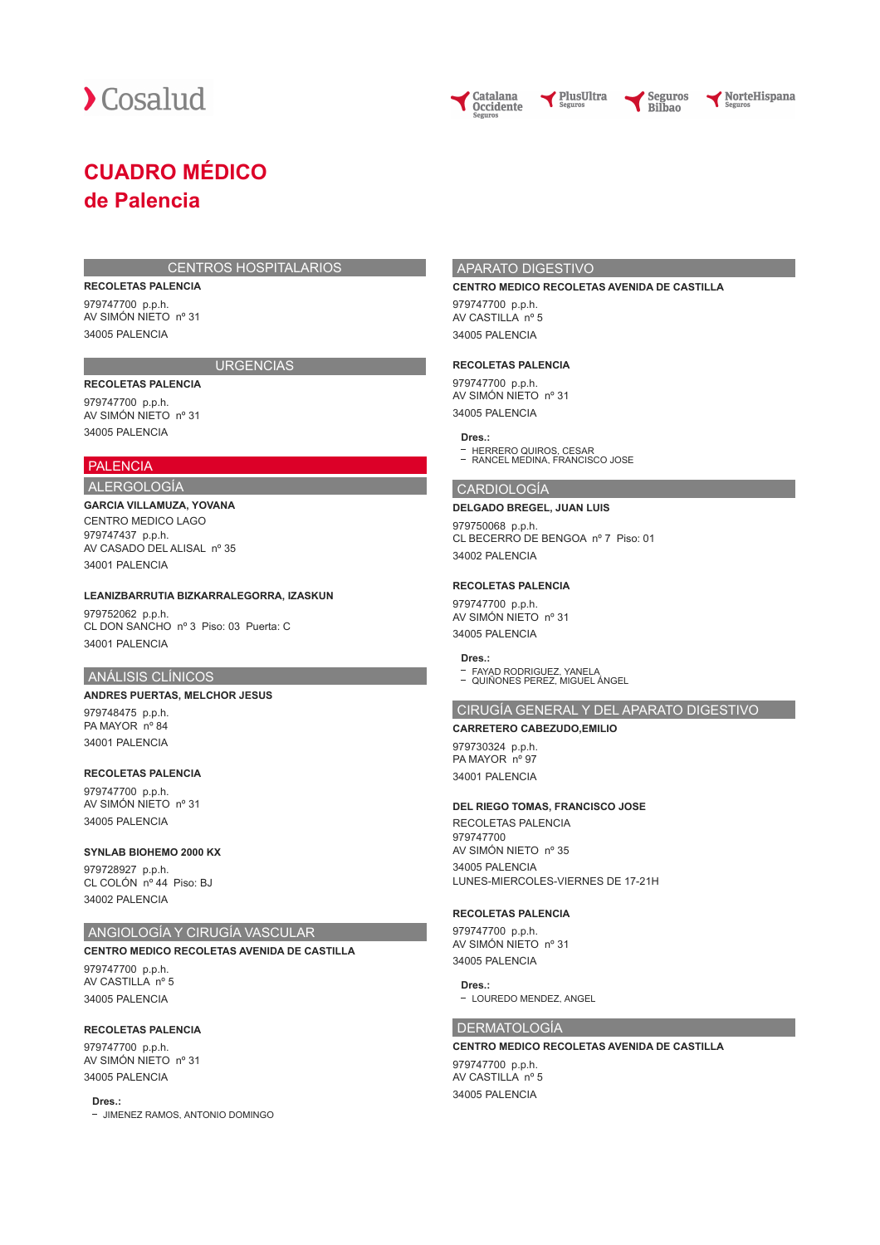

NorteHispana

## **CUADRO MÉDICO de Palencia**

#### CENTROS HOSPITALARIOS

#### **RECOLETAS PALENCIA**

979747700 p.p.h. AV SIMÓN NIETO nº 31 34005 PALENCIA

## **URGENCIAS**

**RECOLETAS PALENCIA** 979747700 p.p.h. AV SIMÓN NIETO nº 31

## 34005 PALENCIA PALENCIA

## ALERGOLOGÍA

## **GARCIA VILLAMUZA, YOVANA** CENTRO MEDICO LAGO

979747437 p.p.h. AV CASADO DEL ALISAL nº 35 34001 PALENCIA

#### **LEANIZBARRUTIA BIZKARRALEGORRA, IZASKUN**

979752062 p.p.h. CL DON SANCHO nº 3 Piso: 03 Puerta: C 34001 PALENCIA

## ANÁLISIS CLÍNICOS

## **ANDRES PUERTAS, MELCHOR JESUS**

979748475 p.p.h. PA MAYOR nº 84 34001 PALENCIA

#### **RECOLETAS PALENCIA**

979747700 p.p.h. AV SIMÓN NIETO nº 31 34005 PALENCIA

## **SYNLAB BIOHEMO 2000 KX**

979728927 p.p.h. CL COLÓN nº 44 Piso: BJ 34002 PALENCIA

## ANGIOLOGÍA Y CIRUGÍA VASCULAR

## **CENTRO MEDICO RECOLETAS AVENIDA DE CASTILLA**

979747700 p.p.h. AV CASTILLA nº 5 34005 PALENCIA

#### **RECOLETAS PALENCIA**

979747700 p.p.h. AV SIMÓN NIETO nº 31 34005 PALENCIA

**Dres.:**

- JIMENEZ RAMOS, ANTONIO DOMINGO

## APARATO DIGESTIVO

#### **CENTRO MEDICO RECOLETAS AVENIDA DE CASTILLA**

PlusUltra

979747700 p.p.h. AV CASTILLA nº 5 34005 PALENCIA

#### **RECOLETAS PALENCIA**

979747700 p.p.h. AV SIMÓN NIETO nº 31 34005 PALENCIA

### **Dres.:**

HERRERO QUIROS, CESAR RANCEL MEDINA, FRANCISCO JOSE

#### CARDIOLOGÍA

#### **DELGADO BREGEL, JUAN LUIS**

979750068 p.p.h. CL BECERRO DE BENGOA nº 7 Piso: 01 34002 PALENCIA

#### **RECOLETAS PALENCIA**

979747700 p.p.h. AV SIMÓN NIETO nº 31 34005 PALENCIA

#### **Dres.:**

FAYAD RODRIGUEZ, YANELA QUIÑONES PEREZ, MIGUEL ÁNGEL  $\mathbb{R}^2$ 

#### CIRUGÍA GENERAL Y DEL APARATO DIGESTIVO

#### **CARRETERO CABEZUDO,EMILIO**

979730324 p.p.h. PA MAYOR nº 97 34001 PALENCIA

#### **DEL RIEGO TOMAS, FRANCISCO JOSE**

RECOLETAS PALENCIA 979747700 AV SIMÓN NIETO nº 35 34005 PALENCIA LUNES-MIERCOLES-VIERNES DE 17-21H

#### **RECOLETAS PALENCIA**

979747700 p.p.h. AV SIMÓN NIETO nº 31 34005 PALENCIA

#### **Dres.:**

- LOUREDO MENDEZ, ANGEL

## DERMATOLOGÍA

#### **CENTRO MEDICO RECOLETAS AVENIDA DE CASTILLA**

979747700 p.p.h. AV CASTILLA nº 5 34005 PALENCIA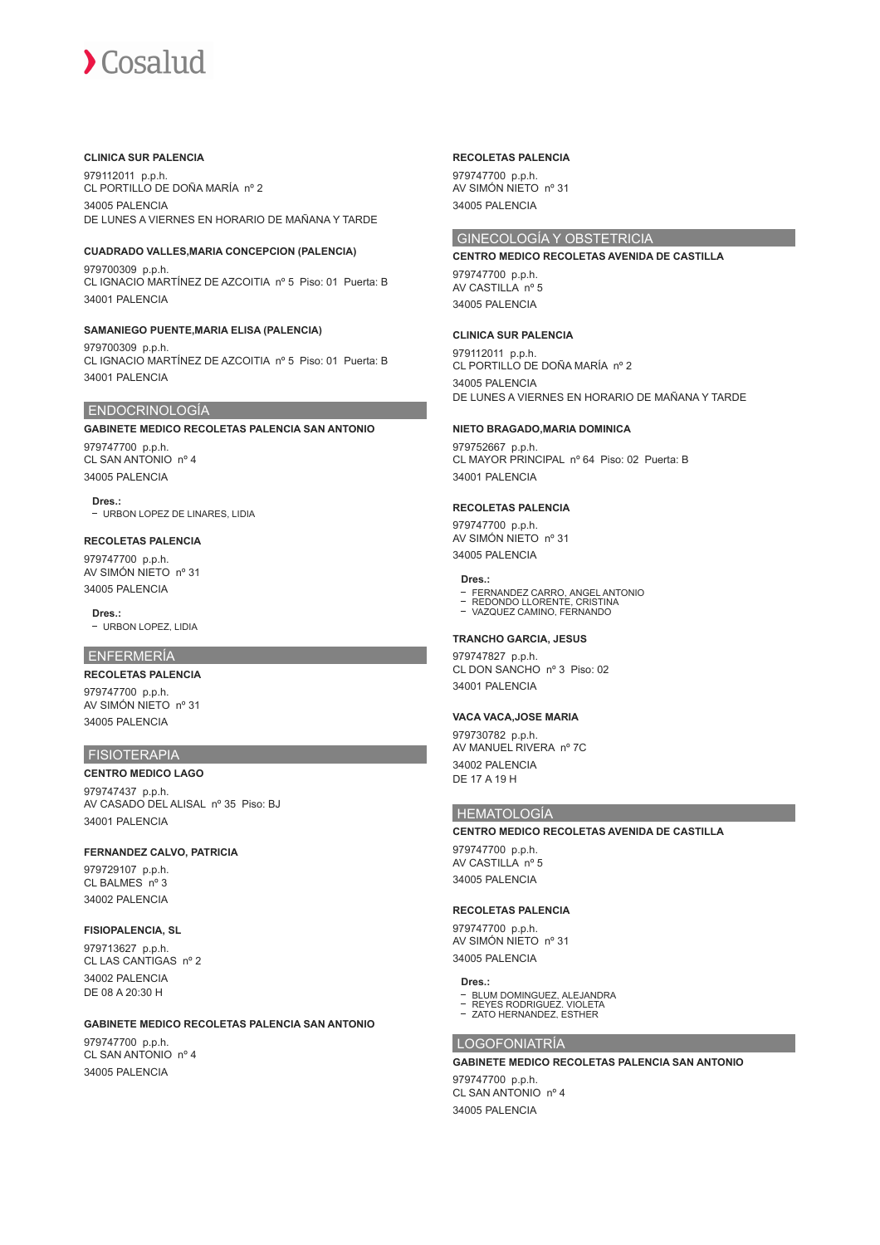#### **CLINICA SUR PALENCIA**

979112011 p.p.h. CL PORTILLO DE DOÑA MARÍA nº 2 34005 PALENCIA DE LUNES A VIERNES EN HORARIO DE MAÑANA Y TARDE

#### **CUADRADO VALLES,MARIA CONCEPCION (PALENCIA)**

979700309 p.p.h. CL IGNACIO MARTÍNEZ DE AZCOITIA nº 5 Piso: 01 Puerta: B 34001 PALENCIA

#### **SAMANIEGO PUENTE,MARIA ELISA (PALENCIA)**

979700309 p.p.h. CL IGNACIO MARTÍNEZ DE AZCOITIA nº 5 Piso: 01 Puerta: B 34001 PALENCIA

#### ENDOCRINOLOGÍA

**GABINETE MEDICO RECOLETAS PALENCIA SAN ANTONIO** 979747700 p.p.h. CL SAN ANTONIO nº 4 34005 PALENCIA

**Dres.:** URBON LOPEZ DE LINARES, LIDIA

## **RECOLETAS PALENCIA**

979747700 p.p.h. AV SIMÓN NIETO nº 31 34005 PALENCIA

**Dres.:**

- URBON LOPEZ, LIDIA

## ENFERMERÍA

**RECOLETAS PALENCIA** 979747700 p.p.h.

AV SIMÓN NIETO nº 31 34005 PALENCIA

## FISIOTERAPIA

**CENTRO MEDICO LAGO** 979747437 p.p.h. AV CASADO DEL ALISAL nº 35 Piso: BJ 34001 PALENCIA

### **FERNANDEZ CALVO, PATRICIA**

979729107 p.p.h. CL BALMES nº 3 34002 PALENCIA

## **FISIOPALENCIA, SL**

979713627 p.p.h. CL LAS CANTIGAS nº 2 34002 PALENCIA DE 08 A 20:30 H

#### **GABINETE MEDICO RECOLETAS PALENCIA SAN ANTONIO**

979747700 p.p.h. CL SAN ANTONIO nº 4 34005 PALENCIA

#### **RECOLETAS PALENCIA**

979747700 p.p.h. AV SIMÓN NIETO nº 31 34005 PALENCIA

## GINECOLOGÍA Y OBSTETRICIA

#### **CENTRO MEDICO RECOLETAS AVENIDA DE CASTILLA**

979747700 p.p.h. AV CASTILLA nº 5 34005 PALENCIA

#### **CLINICA SUR PALENCIA**

979112011 p.p.h. CL PORTILLO DE DOÑA MARÍA nº 2 34005 PALENCIA DE LUNES A VIERNES EN HORARIO DE MAÑANA Y TARDE

#### **NIETO BRAGADO,MARIA DOMINICA**

979752667 p.p.h. CL MAYOR PRINCIPAL nº 64 Piso: 02 Puerta: B 34001 PALENCIA

#### **RECOLETAS PALENCIA**

979747700 p.p.h. AV SIMÓN NIETO nº 31 34005 PALENCIA

#### **Dres.:**

- FERNANDEZ CARRO, ANGEL ANTONIO REDONDO LLORENTE, CRISTINA
- VAZQUEZ CAMINO, FERNANDO
- 

## **TRANCHO GARCIA, JESUS**

979747827 p.p.h. CL DON SANCHO nº 3 Piso: 02 34001 PALENCIA

#### **VACA VACA,JOSE MARIA**

979730782 p.p.h. AV MANUEL RIVERA nº 7C 34002 PALENCIA DE 17 A 19 H

#### HEMATOLOGÍA

#### **CENTRO MEDICO RECOLETAS AVENIDA DE CASTILLA**

979747700 p.p.h. AV CASTILLA nº 5 34005 PALENCIA

#### **RECOLETAS PALENCIA**

979747700 p.p.h. AV SIMÓN NIETO nº 31 34005 PALENCIA

#### **Dres.:**

- BLUM DOMINGUEZ, ALEJANDRA
- REYES RODRIGUEZ. VIOLETA ZATO HERNANDEZ, ESTHER

#### LOGOFONIATRÍA

## **GABINETE MEDICO RECOLETAS PALENCIA SAN ANTONIO**

979747700 p.p.h. CL SAN ANTONIO nº 4 34005 PALENCIA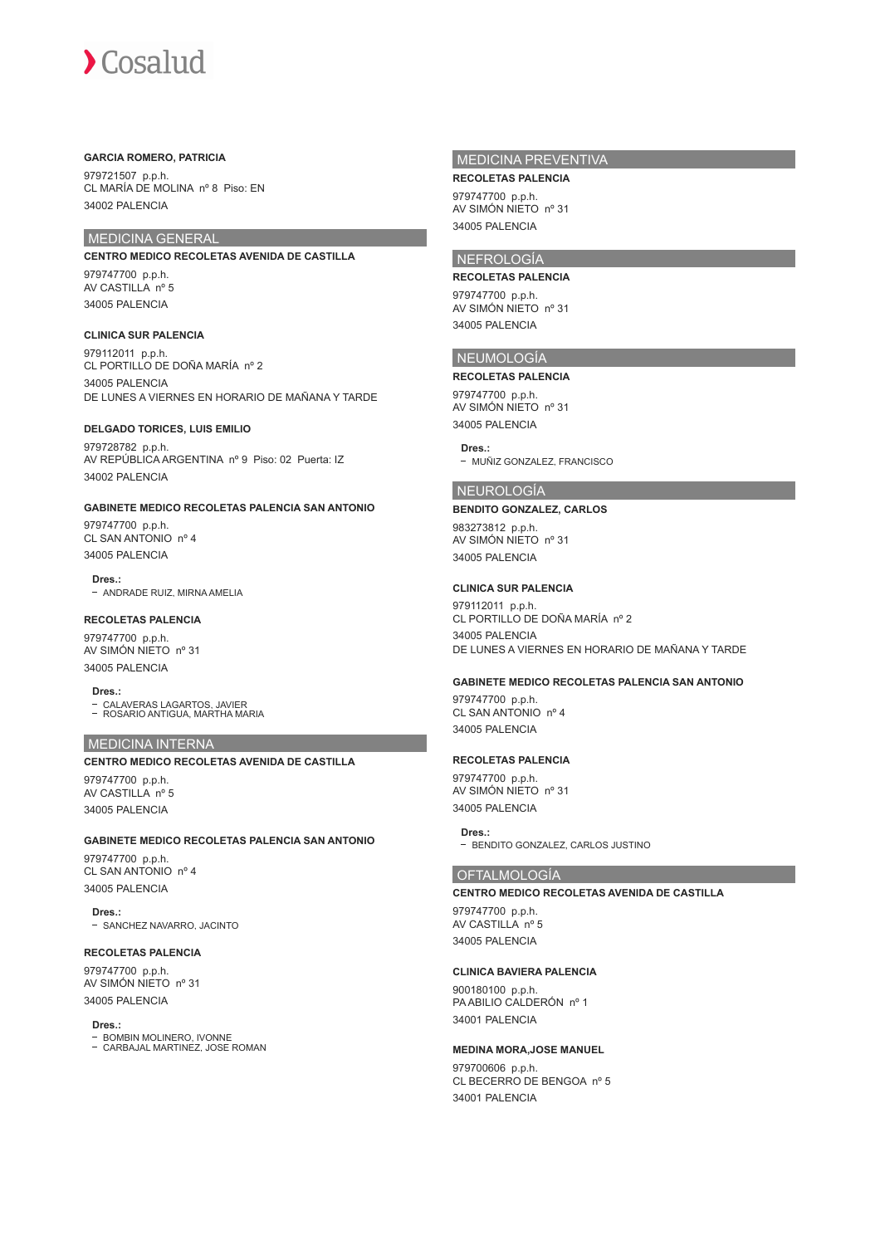#### **GARCIA ROMERO, PATRICIA**

979721507 p.p.h. CL MARÍA DE MOLINA nº 8 Piso: EN 34002 PALENCIA

## MEDICINA GENERAL

**CENTRO MEDICO RECOLETAS AVENIDA DE CASTILLA**

979747700 p.p.h. AV CASTILLA nº 5 34005 PALENCIA

#### **CLINICA SUR PALENCIA**

979112011 p.p.h. CL PORTILLO DE DOÑA MARÍA nº 2 34005 PALENCIA DE LUNES A VIERNES EN HORARIO DE MAÑANA Y TARDE

#### **DELGADO TORICES, LUIS EMILIO**

979728782 p.p.h. AV REPÚBLICA ARGENTINA nº 9 Piso: 02 Puerta: IZ 34002 PALENCIA

#### **GABINETE MEDICO RECOLETAS PALENCIA SAN ANTONIO**

979747700 p.p.h. CL SAN ANTONIO nº 4 34005 PALENCIA

**Dres.:** - ANDRADE RUIZ, MIRNA AMELIA

#### **RECOLETAS PALENCIA**

979747700 p.p.h. AV SIMÓN NIETO nº 31 34005 PALENCIA

**Dres.:** CALAVERAS LAGARTOS, JAVIER ROSARIO ANTIGUA, MARTHA MARIA

#### MEDICINA INTERNA

#### **CENTRO MEDICO RECOLETAS AVENIDA DE CASTILLA**

979747700 p.p.h. AV CASTILLA nº 5 34005 PALENCIA

#### **GABINETE MEDICO RECOLETAS PALENCIA SAN ANTONIO**

979747700 p.p.h. CL SAN ANTONIO nº 4 34005 PALENCIA

**Dres.:** - SANCHEZ NAVARRO, JACINTO

#### **RECOLETAS PALENCIA**

979747700 p.p.h. AV SIMÓN NIETO nº 31 34005 PALENCIA

#### **Dres.:**

BOMBIN MOLINERO, IVONNE CARBAJAL MARTINEZ, JOSE ROMAN

## MEDICINA PREVENTIVA

**RECOLETAS PALENCIA** 979747700 p.p.h. AV SIMÓN NIETO nº 31 34005 PALENCIA

## NEFROLOGÍA

**RECOLETAS PALENCIA** 979747700 p.p.h. AV SIMÓN NIETO nº 31 34005 PALENCIA

#### NEUMOLOGÍA

#### **RECOLETAS PALENCIA**

979747700 p.p.h. AV SIMÓN NIETO nº 31 34005 PALENCIA

#### **Dres.:**

- MUÑIZ GONZALEZ, FRANCISCO

## NEUROLOGÍA

#### **BENDITO GONZALEZ, CARLOS**

983273812 p.p.h. AV SIMÓN NIETO nº 31 34005 PALENCIA

#### **CLINICA SUR PALENCIA**

979112011 p.p.h. CL PORTILLO DE DOÑA MARÍA nº 2 34005 PALENCIA DE LUNES A VIERNES EN HORARIO DE MAÑANA Y TARDE

#### **GABINETE MEDICO RECOLETAS PALENCIA SAN ANTONIO**

979747700 p.p.h. CL SAN ANTONIO nº 4 34005 PALENCIA

#### **RECOLETAS PALENCIA**

979747700 p.p.h. AV SIMÓN NIETO nº 31 34005 PALENCIA

**Dres.:** - BENDITO GONZALEZ, CARLOS JUSTINO

## OFTALMOLOGÍA

#### **CENTRO MEDICO RECOLETAS AVENIDA DE CASTILLA**

979747700 p.p.h. AV CASTILLA nº 5 34005 PALENCIA

#### **CLINICA BAVIERA PALENCIA**

900180100 p.p.h. PA ABILIO CALDERÓN nº 1 34001 PALENCIA

#### **MEDINA MORA,JOSE MANUEL**

979700606 p.p.h. CL BECERRO DE BENGOA nº 5 34001 PALENCIA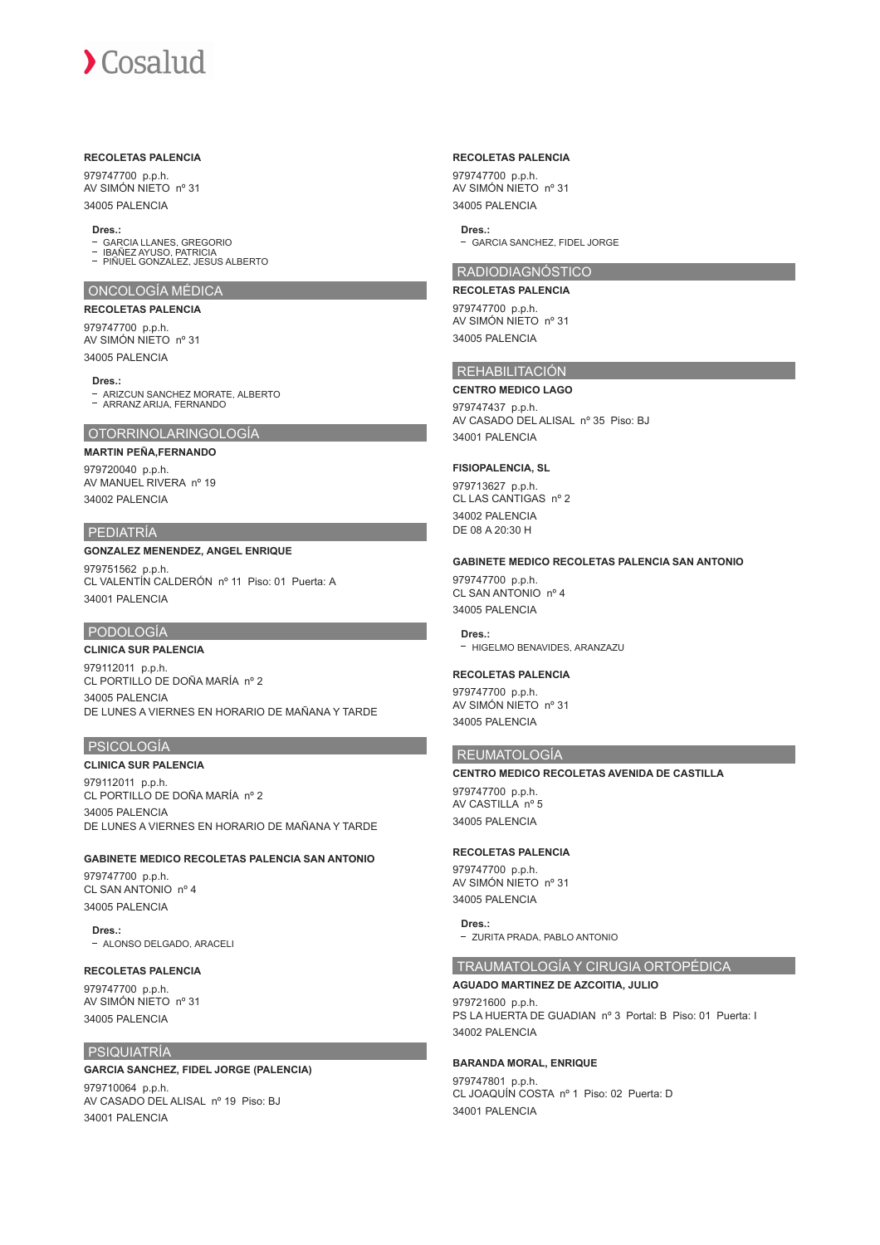#### **RECOLETAS PALENCIA**

979747700 p.p.h. AV SIMÓN NIETO nº 31 34005 PALENCIA

#### **Dres.:**

- GARCIA LLANES, GREGORIO
- IBAÑEZ AYUSO, PATRICIA PIÑUEL GONZALEZ, JESUS ALBERTO

#### ONCOLOGÍA MÉDICA

**RECOLETAS PALENCIA**

979747700 p.p.h. AV SIMÓN NIETO nº 31 34005 PALENCIA

**Dres.:**

ARIZCUN SANCHEZ MORATE, ALBERTO ARRANZ ARIJA, FERNANDO

#### OTORRINOLARINGOLOGÍA

#### **MARTIN PEÑA,FERNANDO**

979720040 p.p.h. AV MANUEL RIVERA nº 19 34002 PALENCIA

#### PEDIATRÍA

#### **GONZALEZ MENENDEZ, ANGEL ENRIQUE**

979751562 p.p.h. CL VALENTÍN CALDERÓN nº 11 Piso: 01 Puerta: A 34001 PALENCIA

## PODOLOGÍA

#### **CLINICA SUR PALENCIA**

979112011 p.p.h. CL PORTILLO DE DOÑA MARÍA nº 2 34005 PALENCIA DE LUNES A VIERNES EN HORARIO DE MAÑANA Y TARDE

#### PSICOLOGÍA

#### **CLINICA SUR PALENCIA**

979112011 p.p.h. CL PORTILLO DE DOÑA MARÍA nº 2 34005 PALENCIA DE LUNES A VIERNES EN HORARIO DE MAÑANA Y TARDE

#### **GABINETE MEDICO RECOLETAS PALENCIA SAN ANTONIO**

979747700 p.p.h. CL SAN ANTONIO nº 4 34005 PALENCIA

**Dres.:**

- ALONSO DELGADO, ARACELI

#### **RECOLETAS PALENCIA**

979747700 p.p.h. AV SIMÓN NIETO nº 31 34005 PALENCIA

#### PSIQUIATRÍA

#### **GARCIA SANCHEZ, FIDEL JORGE (PALENCIA)**

979710064 p.p.h. AV CASADO DEL ALISAL nº 19 Piso: BJ 34001 PALENCIA

#### **RECOLETAS PALENCIA**

979747700 p.p.h. AV SIMÓN NIETO nº 31 34005 PALENCIA

#### **Dres.:**

GARCIA SANCHEZ, FIDEL JORGE

## RADIODIAGNÓSTICO

**RECOLETAS PALENCIA** 979747700 p.p.h. AV SIMÓN NIETO nº 31 34005 PALENCIA

#### REHABILITACIÓN

**CENTRO MEDICO LAGO** 979747437 p.p.h. AV CASADO DEL ALISAL nº 35 Piso: BJ 34001 PALENCIA

#### **FISIOPALENCIA, SL**

979713627 p.p.h. CL LAS CANTIGAS nº 2 34002 PALENCIA DE 08 A 20:30 H

#### **GABINETE MEDICO RECOLETAS PALENCIA SAN ANTONIO**

979747700 p.p.h. CL SAN ANTONIO nº 4 34005 PALENCIA

**Dres.:** - HIGELMO BENAVIDES, ARANZAZU

#### **RECOLETAS PALENCIA**

979747700 p.p.h. AV SIMÓN NIETO nº 31 34005 PALENCIA

## REUMATOLOGÍA

**CENTRO MEDICO RECOLETAS AVENIDA DE CASTILLA** 979747700 p.p.h.

AV CASTILLA nº 5 34005 PALENCIA

#### **RECOLETAS PALENCIA**

979747700 p.p.h. AV SIMÓN NIETO nº 31 34005 PALENCIA

**Dres.:** - ZURITA PRADA, PABLO ANTONIO

#### TRAUMATOLOGÍA Y CIRUGIA ORTOPÉDICA

## **AGUADO MARTINEZ DE AZCOITIA, JULIO**

979721600 p.p.h. PS LA HUERTA DE GUADIAN nº 3 Portal: B Piso: 01 Puerta: I 34002 PALENCIA

#### **BARANDA MORAL, ENRIQUE**

979747801 p.p.h. CL JOAQUÍN COSTA nº 1 Piso: 02 Puerta: D 34001 PALENCIA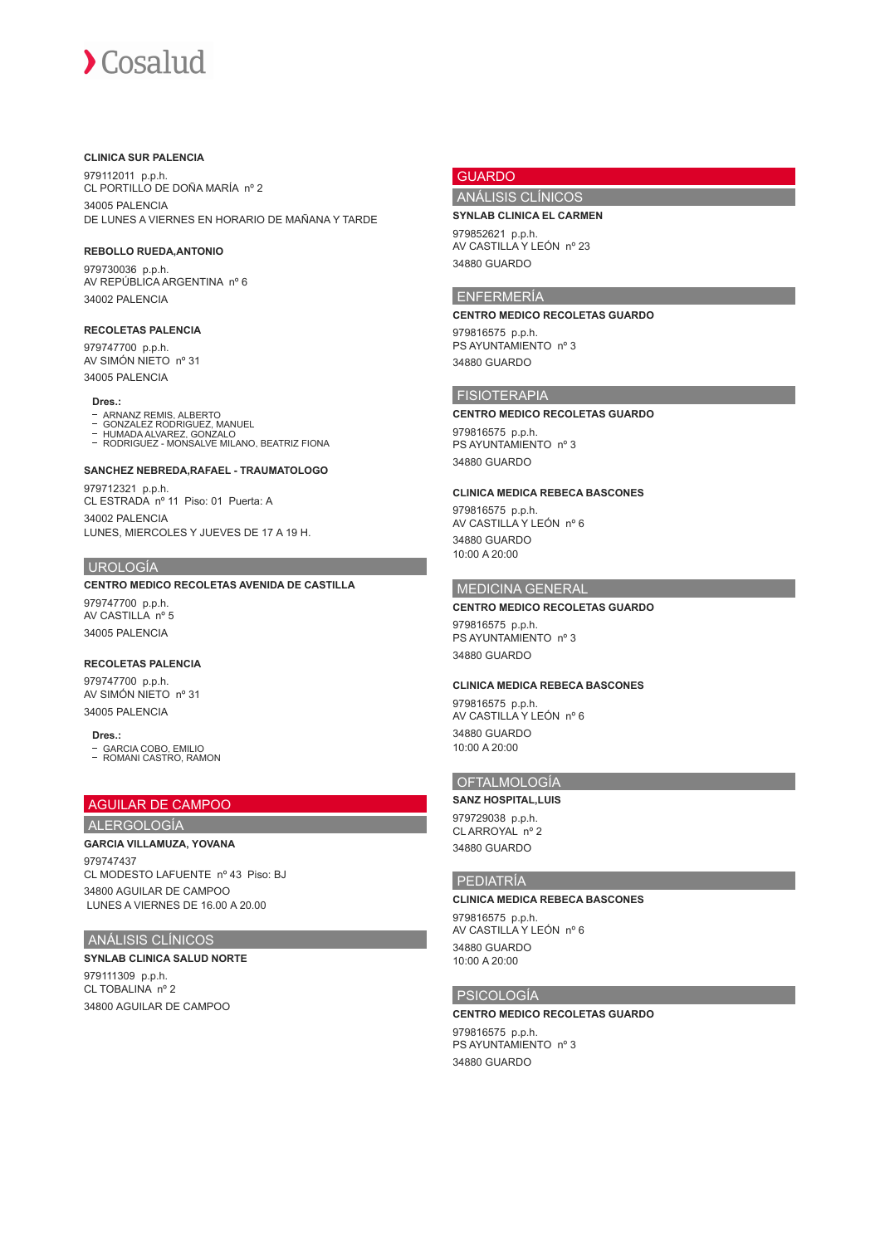#### **CLINICA SUR PALENCIA**

979112011 p.p.h. CL PORTILLO DE DOÑA MARÍA nº 2 34005 PALENCIA DE LUNES A VIERNES EN HORARIO DE MAÑANA Y TARDE

### **REBOLLO RUEDA,ANTONIO**

979730036 p.p.h. AV REPÚBLICA ARGENTINA nº 6 34002 PALENCIA

#### **RECOLETAS PALENCIA**

979747700 p.p.h. AV SIMÓN NIETO nº 31 34005 PALENCIA

#### **Dres.:**

- ARNANZ REMIS, ALBERTO GONZALEZ RODRIGUEZ, MANUEL
- 
- HUMADA ALVAREZ, GONZALO RODRIGUEZ MONSALVE MILANO, BEATRIZ FIONA

#### **SANCHEZ NEBREDA,RAFAEL - TRAUMATOLOGO**

979712321 p.p.h. CL ESTRADA nº 11 Piso: 01 Puerta: A 34002 PALENCIA LUNES, MIERCOLES Y JUEVES DE 17 A 19 H.

#### UROLOGÍA

#### **CENTRO MEDICO RECOLETAS AVENIDA DE CASTILLA**

979747700 p.p.h. AV CASTILLA nº 5 34005 PALENCIA

#### **RECOLETAS PALENCIA**

979747700 p.p.h. AV SIMÓN NIETO nº 31 34005 PALENCIA

#### **Dres.:**

GARCIA COBO, EMILIO ROMANI CASTRO, RAMON

## AGUILAR DE CAMPOO

#### ALERGOLOGÍA **GARCIA VILLAMUZA, YOVANA**

979747437 CL MODESTO LAFUENTE nº 43 Piso: BJ 34800 AGUILAR DE CAMPOO LUNES A VIERNES DE 16.00 A 20.00

## ANÁLISIS CLÍNICOS

**SYNLAB CLINICA SALUD NORTE** 979111309 p.p.h. CL TOBALINA nº 2 34800 AGUILAR DE CAMPOO

## GUARDO

## ANÁLISIS CLÍNICOS

**SYNLAB CLINICA EL CARMEN**

979852621 p.p.h. AV CASTILLA Y LEÓN nº 23 34880 GUARDO

#### ENFERMERÍA

## **CENTRO MEDICO RECOLETAS GUARDO**

979816575 p.p.h. PS AYUNTAMIENTO nº 3 34880 GUARDO

## FISIOTERAPIA

**CENTRO MEDICO RECOLETAS GUARDO** 979816575 p.p.h. PS AYUNTAMIENTO nº 3 34880 GUARDO

#### **CLINICA MEDICA REBECA BASCONES**

979816575 p.p.h. AV CASTILLA Y LEÓN nº 6 34880 GUARDO 10:00 A 20:00

## MEDICINA GENERAL

#### **CENTRO MEDICO RECOLETAS GUARDO**

979816575 p.p.h. PS AYUNTAMIENTO nº 3 34880 GUARDO

#### **CLINICA MEDICA REBECA BASCONES**

979816575 p.p.h. AV CASTILLA Y LEÓN nº 6 34880 GUARDO 10:00 A 20:00

## OFTALMOLOGÍA

#### **SANZ HOSPITAL,LUIS**

979729038 p.p.h. CL ARROYAL nº 2 34880 GUARDO

#### PEDIATRÍA

#### **CLINICA MEDICA REBECA BASCONES**

979816575 p.p.h. AV CASTILLA Y LEÓN nº 6 34880 GUARDO 10:00 A 20:00

#### PSICOLOGÍA

**CENTRO MEDICO RECOLETAS GUARDO** 979816575 p.p.h. PS AYUNTAMIENTO nº 3 34880 GUARDO